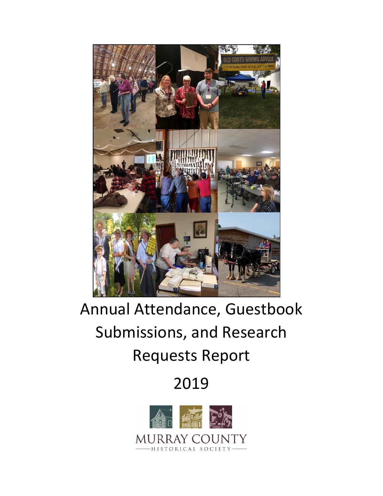

# Annual Attendance, Guestbook Submissions, and Research Requests Report

## 2019

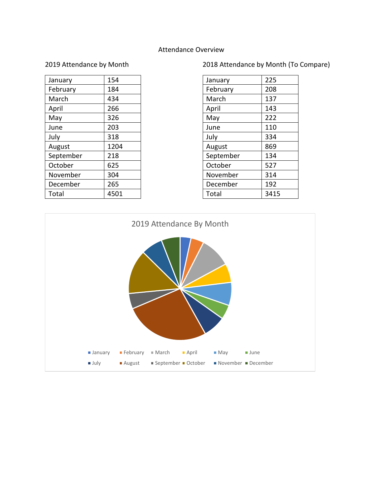#### Attendance Overview

#### 2019 Attendance by Month

| January   | 154  |
|-----------|------|
| February  | 184  |
| March     | 434  |
| April     | 266  |
| May       | 326  |
| June      | 203  |
| July      | 318  |
| August    | 1204 |
| September | 218  |
| October   | 625  |
| November  | 304  |
| December  | 265  |
| Total     | 4501 |

#### 2018 Attendance by Month (To Compare)

| January   | 225  |
|-----------|------|
| February  | 208  |
| March     | 137  |
| April     | 143  |
| May       | 222  |
| June      | 110  |
| July      | 334  |
| August    | 869  |
| September | 134  |
| October   | 527  |
| November  | 314  |
| December  | 192  |
| Total     | 3415 |

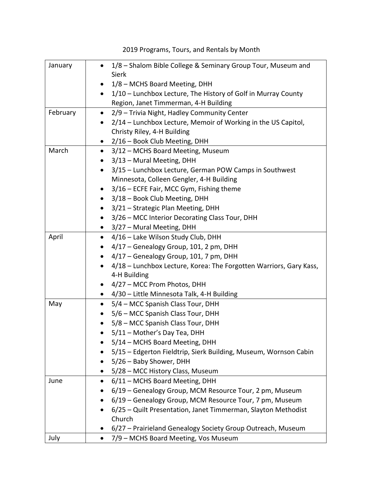| January  | 1/8 - Shalom Bible College & Seminary Group Tour, Museum and<br>$\bullet$  |  |
|----------|----------------------------------------------------------------------------|--|
|          | Sierk                                                                      |  |
|          | 1/8 - MCHS Board Meeting, DHH<br>٠                                         |  |
|          | 1/10 - Lunchbox Lecture, The History of Golf in Murray County<br>$\bullet$ |  |
|          | Region, Janet Timmerman, 4-H Building                                      |  |
| February | 2/9 - Trivia Night, Hadley Community Center<br>٠                           |  |
|          | 2/14 - Lunchbox Lecture, Memoir of Working in the US Capitol,              |  |
|          | Christy Riley, 4-H Building                                                |  |
|          | 2/16 - Book Club Meeting, DHH<br>٠                                         |  |
| March    | 3/12 - MCHS Board Meeting, Museum<br>$\bullet$                             |  |
|          | 3/13 - Mural Meeting, DHH                                                  |  |
|          | 3/15 - Lunchbox Lecture, German POW Camps in Southwest<br>$\bullet$        |  |
|          | Minnesota, Colleen Gengler, 4-H Building                                   |  |
|          | 3/16 - ECFE Fair, MCC Gym, Fishing theme<br>$\bullet$                      |  |
|          | 3/18 - Book Club Meeting, DHH                                              |  |
|          | 3/21 - Strategic Plan Meeting, DHH<br>٠                                    |  |
|          | 3/26 - MCC Interior Decorating Class Tour, DHH<br>٠                        |  |
|          | 3/27 - Mural Meeting, DHH<br>$\bullet$                                     |  |
| April    | 4/16 - Lake Wilson Study Club, DHH<br>$\bullet$                            |  |
|          | 4/17 – Genealogy Group, 101, 2 pm, DHH<br>$\bullet$                        |  |
|          | 4/17 - Genealogy Group, 101, 7 pm, DHH<br>$\bullet$                        |  |
|          | 4/18 - Lunchbox Lecture, Korea: The Forgotten Warriors, Gary Kass,         |  |
|          | 4-H Building                                                               |  |
|          | 4/27 - MCC Prom Photos, DHH                                                |  |
|          | 4/30 - Little Minnesota Talk, 4-H Building<br>$\bullet$                    |  |
| May      | 5/4 - MCC Spanish Class Tour, DHH<br>$\bullet$                             |  |
|          | 5/6 - MCC Spanish Class Tour, DHH<br>$\bullet$                             |  |
|          | 5/8 - MCC Spanish Class Tour, DHH<br>$\bullet$                             |  |
|          | 5/11 - Mother's Day Tea, DHH<br>$\bullet$                                  |  |
|          | 5/14 – MCHS Board Meeting, DHH                                             |  |
|          | 5/15 - Edgerton Fieldtrip, Sierk Building, Museum, Wornson Cabin           |  |
|          | 5/26 - Baby Shower, DHH                                                    |  |
|          | 5/28 - MCC History Class, Museum                                           |  |
| June     | 6/11 - MCHS Board Meeting, DHH<br>$\bullet$                                |  |
|          | 6/19 - Genealogy Group, MCM Resource Tour, 2 pm, Museum                    |  |
|          | 6/19 - Genealogy Group, MCM Resource Tour, 7 pm, Museum                    |  |
|          | 6/25 - Quilt Presentation, Janet Timmerman, Slayton Methodist              |  |
|          | Church                                                                     |  |
|          | 6/27 - Prairieland Genealogy Society Group Outreach, Museum                |  |
| July     | 7/9 - MCHS Board Meeting, Vos Museum<br>$\bullet$                          |  |

### 2019 Programs, Tours, and Rentals by Month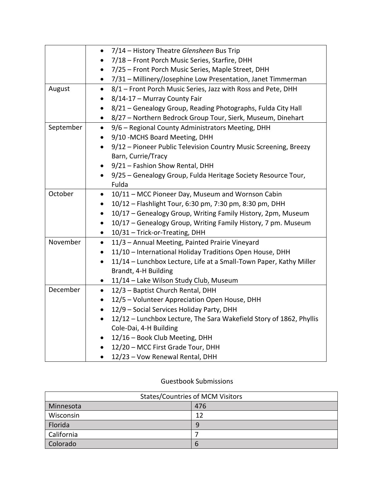|           | 7/14 - History Theatre Glensheen Bus Trip<br>$\bullet$                           |  |
|-----------|----------------------------------------------------------------------------------|--|
|           | 7/18 - Front Porch Music Series, Starfire, DHH<br>$\bullet$                      |  |
|           | 7/25 - Front Porch Music Series, Maple Street, DHH<br>$\bullet$                  |  |
|           | 7/31 - Millinery/Josephine Low Presentation, Janet Timmerman<br>$\bullet$        |  |
| August    | 8/1 - Front Porch Music Series, Jazz with Ross and Pete, DHH<br>$\bullet$        |  |
|           | 8/14-17 - Murray County Fair<br>٠                                                |  |
|           | 8/21 – Genealogy Group, Reading Photographs, Fulda City Hall<br>$\bullet$        |  |
|           | 8/27 - Northern Bedrock Group Tour, Sierk, Museum, Dinehart<br>$\bullet$         |  |
| September | 9/6 - Regional County Administrators Meeting, DHH<br>$\bullet$                   |  |
|           | 9/10 - MCHS Board Meeting, DHH<br>$\bullet$                                      |  |
|           | 9/12 - Pioneer Public Television Country Music Screening, Breezy<br>$\bullet$    |  |
|           | Barn, Currie/Tracy                                                               |  |
|           | 9/21 - Fashion Show Rental, DHH<br>$\bullet$                                     |  |
|           | 9/25 - Genealogy Group, Fulda Heritage Society Resource Tour,<br>$\bullet$       |  |
|           | Fulda                                                                            |  |
| October   | 10/11 - MCC Pioneer Day, Museum and Wornson Cabin<br>$\bullet$                   |  |
|           | 10/12 - Flashlight Tour, 6:30 pm, 7:30 pm, 8:30 pm, DHH<br>$\bullet$             |  |
|           | 10/17 - Genealogy Group, Writing Family History, 2pm, Museum<br>$\bullet$        |  |
|           | 10/17 - Genealogy Group, Writing Family History, 7 pm. Museum<br>$\bullet$       |  |
|           | 10/31 - Trick-or-Treating, DHH<br>$\bullet$                                      |  |
| November  | 11/3 - Annual Meeting, Painted Prairie Vineyard<br>$\bullet$                     |  |
|           | 11/10 - International Holiday Traditions Open House, DHH                         |  |
|           | 11/14 - Lunchbox Lecture, Life at a Small-Town Paper, Kathy Miller<br>$\bullet$  |  |
|           | Brandt, 4-H Building                                                             |  |
|           | 11/14 - Lake Wilson Study Club, Museum                                           |  |
| December  | 12/3 - Baptist Church Rental, DHH<br>$\bullet$                                   |  |
|           | 12/5 - Volunteer Appreciation Open House, DHH<br>$\bullet$                       |  |
|           | 12/9 - Social Services Holiday Party, DHH<br>$\bullet$                           |  |
|           | 12/12 - Lunchbox Lecture, The Sara Wakefield Story of 1862, Phyllis<br>$\bullet$ |  |
|           | Cole-Dai, 4-H Building                                                           |  |
|           | 12/16 - Book Club Meeting, DHH                                                   |  |
|           | 12/20 - MCC First Grade Tour, DHH<br>$\bullet$                                   |  |
|           | 12/23 - Vow Renewal Rental, DHH                                                  |  |

#### Guestbook Submissions

| <b>States/Countries of MCM Visitors</b> |     |  |
|-----------------------------------------|-----|--|
| Minnesota                               | 476 |  |
| Wisconsin                               | 12  |  |
| Florida                                 |     |  |
| California                              |     |  |
| Colorado                                | b   |  |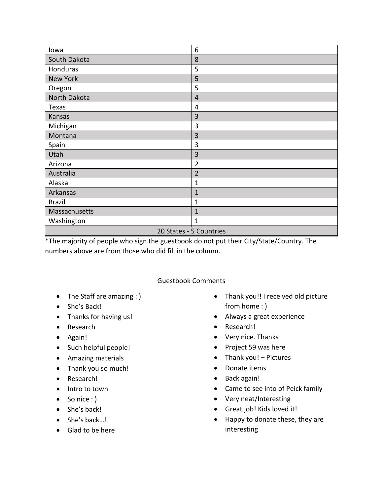| lowa                    | 6              |  |
|-------------------------|----------------|--|
| South Dakota            | 8              |  |
| Honduras                | 5              |  |
| <b>New York</b>         | 5              |  |
| Oregon                  | 5              |  |
| North Dakota            | $\overline{4}$ |  |
| Texas                   | 4              |  |
| Kansas                  | 3              |  |
| Michigan                | 3              |  |
| Montana                 | 3              |  |
| Spain                   | 3              |  |
| Utah                    | 3              |  |
| Arizona                 | $\overline{2}$ |  |
| Australia               | $\overline{2}$ |  |
| Alaska                  | 1              |  |
| Arkansas                | $\mathbf{1}$   |  |
| <b>Brazil</b>           | $\mathbf 1$    |  |
| Massachusetts           | 1              |  |
| Washington              | $\mathbf{1}$   |  |
| 20 States - 5 Countries |                |  |

\*The majority of people who sign the guestbook do not put their City/State/Country. The numbers above are from those who did fill in the column.

#### Guestbook Comments

- The Staff are amazing : )
- She's Back!
- Thanks for having us!
- Research
- Again!
- Such helpful people!
- Amazing materials
- Thank you so much!
- Research!
- Intro to town
- So nice : )
- She's back!
- She's back...!
- Glad to be here
- Thank you!! I received old picture from home : )
- Always a great experience
- Research!
- Very nice. Thanks
- Project 59 was here
- Thank you! Pictures
- Donate items
- Back again!
- Came to see into of Peick family
- Very neat/Interesting
- Great job! Kids loved it!
- Happy to donate these, they are interesting